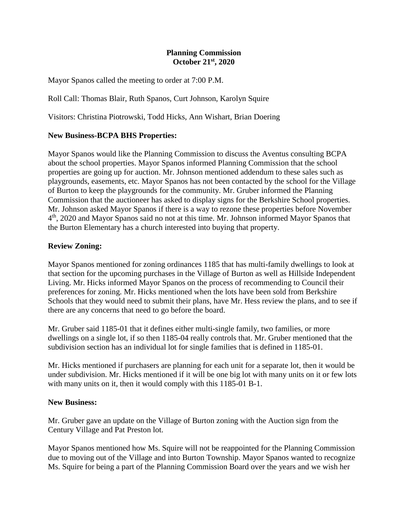## **Planning Commission October 21st, 2020**

Mayor Spanos called the meeting to order at 7:00 P.M.

Roll Call: Thomas Blair, Ruth Spanos, Curt Johnson, Karolyn Squire

Visitors: Christina Piotrowski, Todd Hicks, Ann Wishart, Brian Doering

## **New Business-BCPA BHS Properties:**

Mayor Spanos would like the Planning Commission to discuss the Aventus consulting BCPA about the school properties. Mayor Spanos informed Planning Commission that the school properties are going up for auction. Mr. Johnson mentioned addendum to these sales such as playgrounds, easements, etc. Mayor Spanos has not been contacted by the school for the Village of Burton to keep the playgrounds for the community. Mr. Gruber informed the Planning Commission that the auctioneer has asked to display signs for the Berkshire School properties. Mr. Johnson asked Mayor Spanos if there is a way to rezone these properties before November 4 th, 2020 and Mayor Spanos said no not at this time. Mr. Johnson informed Mayor Spanos that the Burton Elementary has a church interested into buying that property.

## **Review Zoning:**

Mayor Spanos mentioned for zoning ordinances 1185 that has multi-family dwellings to look at that section for the upcoming purchases in the Village of Burton as well as Hillside Independent Living. Mr. Hicks informed Mayor Spanos on the process of recommending to Council their preferences for zoning. Mr. Hicks mentioned when the lots have been sold from Berkshire Schools that they would need to submit their plans, have Mr. Hess review the plans, and to see if there are any concerns that need to go before the board.

Mr. Gruber said 1185-01 that it defines either multi-single family, two families, or more dwellings on a single lot, if so then 1185-04 really controls that. Mr. Gruber mentioned that the subdivision section has an individual lot for single families that is defined in 1185-01.

Mr. Hicks mentioned if purchasers are planning for each unit for a separate lot, then it would be under subdivision. Mr. Hicks mentioned if it will be one big lot with many units on it or few lots with many units on it, then it would comply with this 1185-01 B-1.

#### **New Business:**

Mr. Gruber gave an update on the Village of Burton zoning with the Auction sign from the Century Village and Pat Preston lot.

Mayor Spanos mentioned how Ms. Squire will not be reappointed for the Planning Commission due to moving out of the Village and into Burton Township. Mayor Spanos wanted to recognize Ms. Squire for being a part of the Planning Commission Board over the years and we wish her